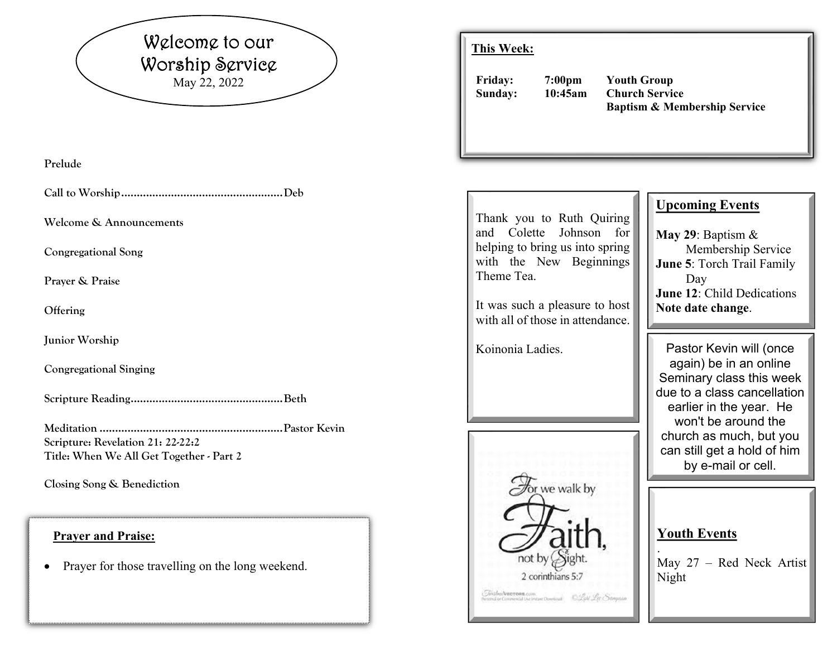## Welcome to our Worship Service May 22, 2022

**Prelude** 

**Call to Worship .................................................... Deb** 

**Welcome & Announcements** 

**Congregational Song** 

**Prayer & Praise** 

**Offering** 

**Junior Worship** 

**Congregational Singing** 

**Scripture Reading ................................................. Beth** 

**Meditation ........................................................... Pastor Kevin Scripture: Revelation 21: 22-22:2 Title: When We All Get Together - Part 2** 

**Closing Song & Benediction** 

#### **Prayer and Praise:**

 $\bullet$ Prayer for those travelling on the long weekend.

#### **This Week:**

**Friday: 7:00pm Youth Group Sunday: 10:45am Church Service Baptism & Membership Service** 

| Thank you to Ruth Quiring<br>and Colette Johnson<br>for<br>helping to bring us into spring<br>with the New Beginnings<br>Theme Tea.<br>It was such a pleasure to host<br>with all of those in attendance. | <b>Upcoming Events</b><br>May 29: Baptism $&$<br>Membership Service<br>June 5: Torch Trail Family<br>Day<br><b>June 12: Child Dedications</b><br>Note date change.                                                                             |
|-----------------------------------------------------------------------------------------------------------------------------------------------------------------------------------------------------------|------------------------------------------------------------------------------------------------------------------------------------------------------------------------------------------------------------------------------------------------|
| Koinonia Ladies.                                                                                                                                                                                          | Pastor Kevin will (once<br>again) be in an online<br>Seminary class this week<br>due to a class cancellation<br>earlier in the year. He<br>won't be around the<br>church as much, but you<br>can still get a hold of him<br>by e-mail or cell. |
| or we walk by<br>not by Sight.<br>2 corinthians 5:7                                                                                                                                                       | <b>Youth Events</b><br>May 27 - Red Neck Artist<br>Night                                                                                                                                                                                       |